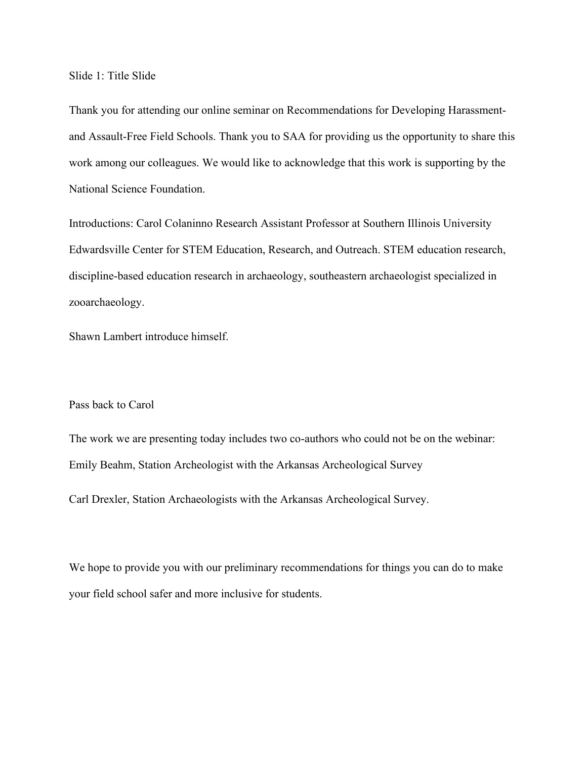Slide 1: Title Slide

Thank you for attending our online seminar on Recommendations for Developing Harassmentand Assault-Free Field Schools. Thank you to SAA for providing us the opportunity to share this work among our colleagues. We would like to acknowledge that this work is supporting by the National Science Foundation.

Introductions: Carol Colaninno Research Assistant Professor at Southern Illinois University Edwardsville Center for STEM Education, Research, and Outreach. STEM education research, discipline-based education research in archaeology, southeastern archaeologist specialized in zooarchaeology.

Shawn Lambert introduce himself.

## Pass back to Carol

The work we are presenting today includes two co-authors who could not be on the webinar: Emily Beahm, Station Archeologist with the Arkansas Archeological Survey

Carl Drexler, Station Archaeologists with the Arkansas Archeological Survey.

We hope to provide you with our preliminary recommendations for things you can do to make your field school safer and more inclusive for students.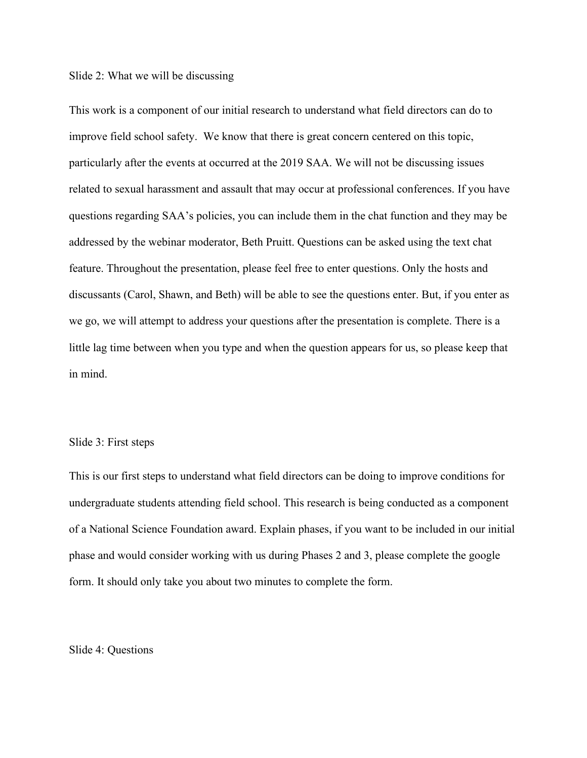#### Slide 2: What we will be discussing

This work is a component of our initial research to understand what field directors can do to improve field school safety. We know that there is great concern centered on this topic, particularly after the events at occurred at the 2019 SAA. We will not be discussing issues related to sexual harassment and assault that may occur at professional conferences. If you have questions regarding SAA's policies, you can include them in the chat function and they may be addressed by the webinar moderator, Beth Pruitt. Questions can be asked using the text chat feature. Throughout the presentation, please feel free to enter questions. Only the hosts and discussants (Carol, Shawn, and Beth) will be able to see the questions enter. But, if you enter as we go, we will attempt to address your questions after the presentation is complete. There is a little lag time between when you type and when the question appears for us, so please keep that in mind.

## Slide 3: First steps

This is our first steps to understand what field directors can be doing to improve conditions for undergraduate students attending field school. This research is being conducted as a component of a National Science Foundation award. Explain phases, if you want to be included in our initial phase and would consider working with us during Phases 2 and 3, please complete the google form. It should only take you about two minutes to complete the form.

Slide 4: Questions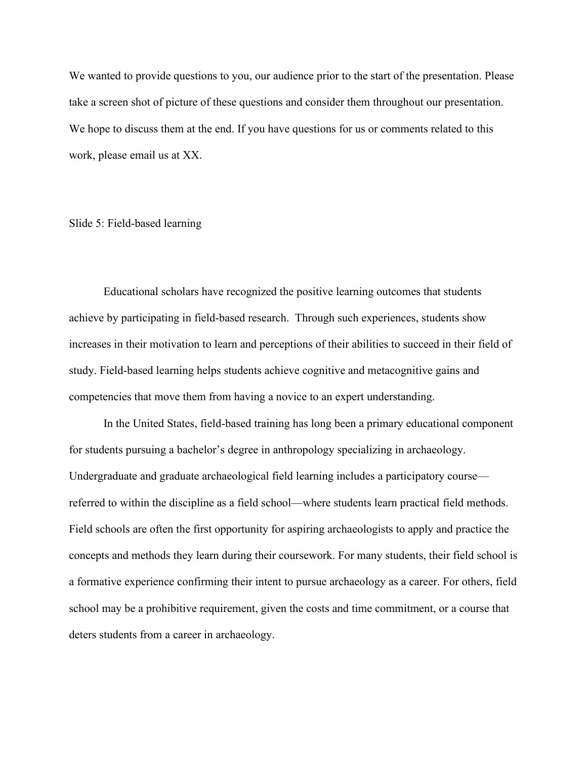We wanted to provide questions to you, our audience prior to the start of the presentation. Please take a screen shot of picture of these questions and consider them throughout our presentation. We hope to discuss them at the end. If you have questions for us or comments related to this work, please email us at XX.

## Slide 5: Field-based learning

Educational scholars have recognized the positive learning outcomes that students achieve by participating in field-based research. Through such experiences, students show increases in their motivation to learn and perceptions of their abilities to succeed in their field of study. Field-based learning helps students achieve cognitive and metacognitive gains and competencies that move them from having a novice to an expert understanding.

In the United States, field-based training has long been a primary educational component for students pursuing a bachelor's degree in anthropology specializing in archaeology. Undergraduate and graduate archaeological field learning includes a participatory course referred to within the discipline as a field school—where students learn practical field methods. Field schools are often the first opportunity for aspiring archaeologists to apply and practice the concepts and methods they learn during their coursework. For many students, their field school is a formative experience confirming their intent to pursue archaeology as a career. For others, field school may be a prohibitive requirement, given the costs and time commitment, or a course that deters students from a career in archaeology.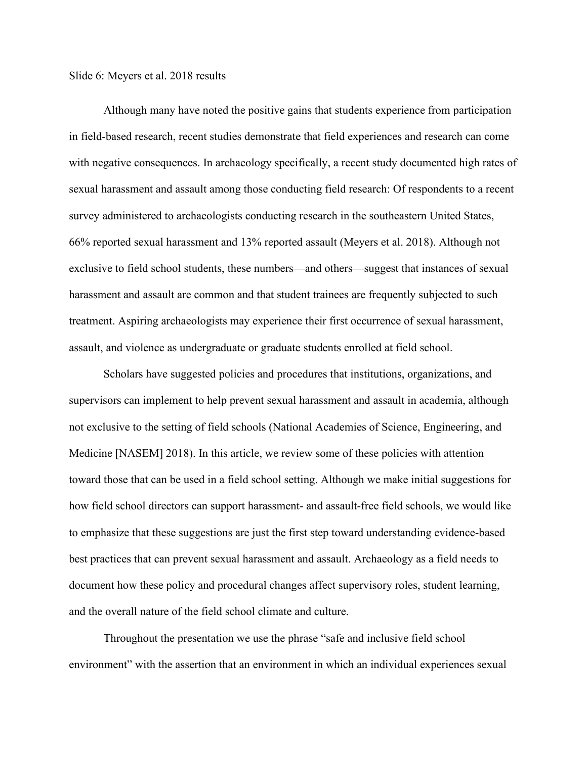Slide 6: Meyers et al. 2018 results

Although many have noted the positive gains that students experience from participation in field-based research, recent studies demonstrate that field experiences and research can come with negative consequences. In archaeology specifically, a recent study documented high rates of sexual harassment and assault among those conducting field research: Of respondents to a recent survey administered to archaeologists conducting research in the southeastern United States, 66% reported sexual harassment and 13% reported assault (Meyers et al. 2018). Although not exclusive to field school students, these numbers—and others—suggest that instances of sexual harassment and assault are common and that student trainees are frequently subjected to such treatment. Aspiring archaeologists may experience their first occurrence of sexual harassment, assault, and violence as undergraduate or graduate students enrolled at field school.

Scholars have suggested policies and procedures that institutions, organizations, and supervisors can implement to help prevent sexual harassment and assault in academia, although not exclusive to the setting of field schools (National Academies of Science, Engineering, and Medicine [NASEM] 2018). In this article, we review some of these policies with attention toward those that can be used in a field school setting. Although we make initial suggestions for how field school directors can support harassment- and assault-free field schools, we would like to emphasize that these suggestions are just the first step toward understanding evidence-based best practices that can prevent sexual harassment and assault. Archaeology as a field needs to document how these policy and procedural changes affect supervisory roles, student learning, and the overall nature of the field school climate and culture.

Throughout the presentation we use the phrase "safe and inclusive field school environment" with the assertion that an environment in which an individual experiences sexual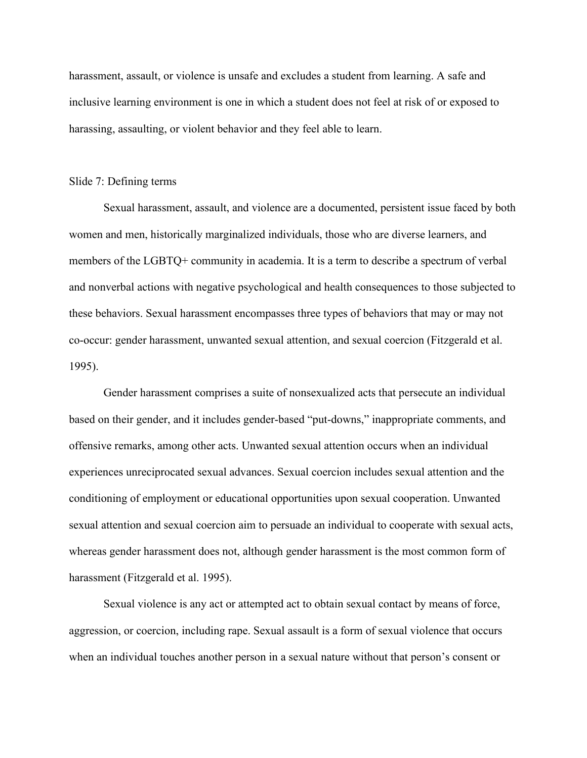harassment, assault, or violence is unsafe and excludes a student from learning. A safe and inclusive learning environment is one in which a student does not feel at risk of or exposed to harassing, assaulting, or violent behavior and they feel able to learn.

#### Slide 7: Defining terms

Sexual harassment, assault, and violence are a documented, persistent issue faced by both women and men, historically marginalized individuals, those who are diverse learners, and members of the LGBTQ+ community in academia. It is a term to describe a spectrum of verbal and nonverbal actions with negative psychological and health consequences to those subjected to these behaviors. Sexual harassment encompasses three types of behaviors that may or may not co-occur: gender harassment, unwanted sexual attention, and sexual coercion (Fitzgerald et al. 1995).

Gender harassment comprises a suite of nonsexualized acts that persecute an individual based on their gender, and it includes gender-based "put-downs," inappropriate comments, and offensive remarks, among other acts. Unwanted sexual attention occurs when an individual experiences unreciprocated sexual advances. Sexual coercion includes sexual attention and the conditioning of employment or educational opportunities upon sexual cooperation. Unwanted sexual attention and sexual coercion aim to persuade an individual to cooperate with sexual acts, whereas gender harassment does not, although gender harassment is the most common form of harassment (Fitzgerald et al. 1995).

Sexual violence is any act or attempted act to obtain sexual contact by means of force, aggression, or coercion, including rape. Sexual assault is a form of sexual violence that occurs when an individual touches another person in a sexual nature without that person's consent or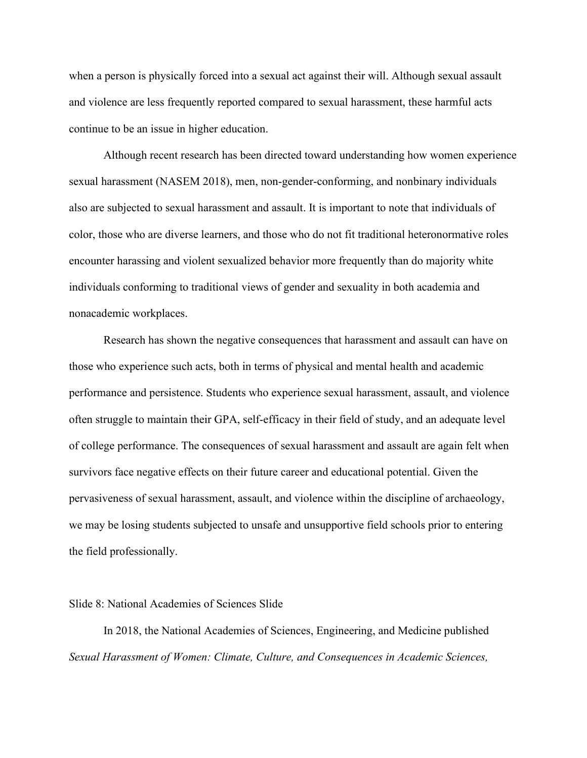when a person is physically forced into a sexual act against their will. Although sexual assault and violence are less frequently reported compared to sexual harassment, these harmful acts continue to be an issue in higher education.

Although recent research has been directed toward understanding how women experience sexual harassment (NASEM 2018), men, non-gender-conforming, and nonbinary individuals also are subjected to sexual harassment and assault. It is important to note that individuals of color, those who are diverse learners, and those who do not fit traditional heteronormative roles encounter harassing and violent sexualized behavior more frequently than do majority white individuals conforming to traditional views of gender and sexuality in both academia and nonacademic workplaces.

Research has shown the negative consequences that harassment and assault can have on those who experience such acts, both in terms of physical and mental health and academic performance and persistence. Students who experience sexual harassment, assault, and violence often struggle to maintain their GPA, self-efficacy in their field of study, and an adequate level of college performance. The consequences of sexual harassment and assault are again felt when survivors face negative effects on their future career and educational potential. Given the pervasiveness of sexual harassment, assault, and violence within the discipline of archaeology, we may be losing students subjected to unsafe and unsupportive field schools prior to entering the field professionally.

### Slide 8: National Academies of Sciences Slide

In 2018, the National Academies of Sciences, Engineering, and Medicine published *Sexual Harassment of Women: Climate, Culture, and Consequences in Academic Sciences,*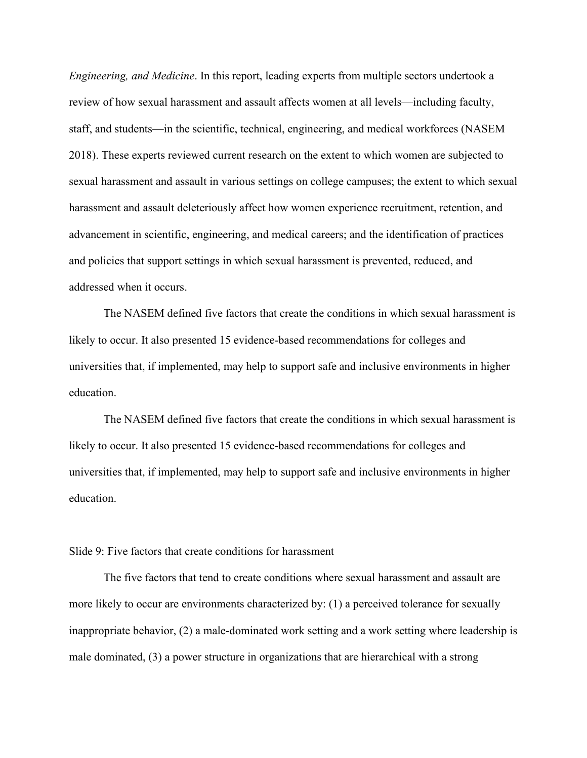*Engineering, and Medicine*. In this report, leading experts from multiple sectors undertook a review of how sexual harassment and assault affects women at all levels—including faculty, staff, and students—in the scientific, technical, engineering, and medical workforces (NASEM 2018). These experts reviewed current research on the extent to which women are subjected to sexual harassment and assault in various settings on college campuses; the extent to which sexual harassment and assault deleteriously affect how women experience recruitment, retention, and advancement in scientific, engineering, and medical careers; and the identification of practices and policies that support settings in which sexual harassment is prevented, reduced, and addressed when it occurs.

The NASEM defined five factors that create the conditions in which sexual harassment is likely to occur. It also presented 15 evidence-based recommendations for colleges and universities that, if implemented, may help to support safe and inclusive environments in higher education.

The NASEM defined five factors that create the conditions in which sexual harassment is likely to occur. It also presented 15 evidence-based recommendations for colleges and universities that, if implemented, may help to support safe and inclusive environments in higher education.

Slide 9: Five factors that create conditions for harassment

The five factors that tend to create conditions where sexual harassment and assault are more likely to occur are environments characterized by: (1) a perceived tolerance for sexually inappropriate behavior, (2) a male-dominated work setting and a work setting where leadership is male dominated, (3) a power structure in organizations that are hierarchical with a strong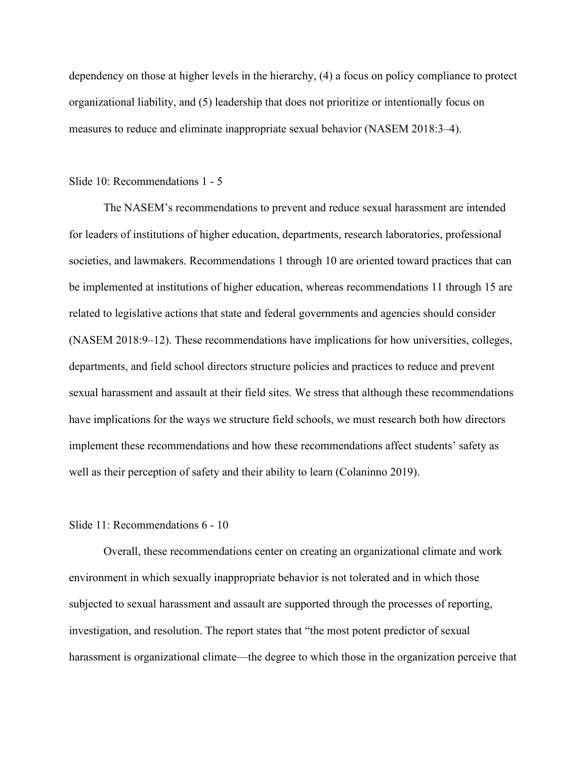dependency on those at higher levels in the hierarchy, (4) a focus on policy compliance to protect organizational liability, and (5) leadership that does not prioritize or intentionally focus on measures to reduce and eliminate inappropriate sexual behavior (NASEM 2018:3–4).

#### Slide 10: Recommendations 1 - 5

The NASEM's recommendations to prevent and reduce sexual harassment are intended for leaders of institutions of higher education, departments, research laboratories, professional societies, and lawmakers. Recommendations 1 through 10 are oriented toward practices that can be implemented at institutions of higher education, whereas recommendations 11 through 15 are related to legislative actions that state and federal governments and agencies should consider (NASEM 2018:9–12). These recommendations have implications for how universities, colleges, departments, and field school directors structure policies and practices to reduce and prevent sexual harassment and assault at their field sites. We stress that although these recommendations have implications for the ways we structure field schools, we must research both how directors implement these recommendations and how these recommendations affect students' safety as well as their perception of safety and their ability to learn (Colaninno 2019).

## Slide 11: Recommendations 6 - 10

Overall, these recommendations center on creating an organizational climate and work environment in which sexually inappropriate behavior is not tolerated and in which those subjected to sexual harassment and assault are supported through the processes of reporting, investigation, and resolution. The report states that "the most potent predictor of sexual harassment is organizational climate—the degree to which those in the organization perceive that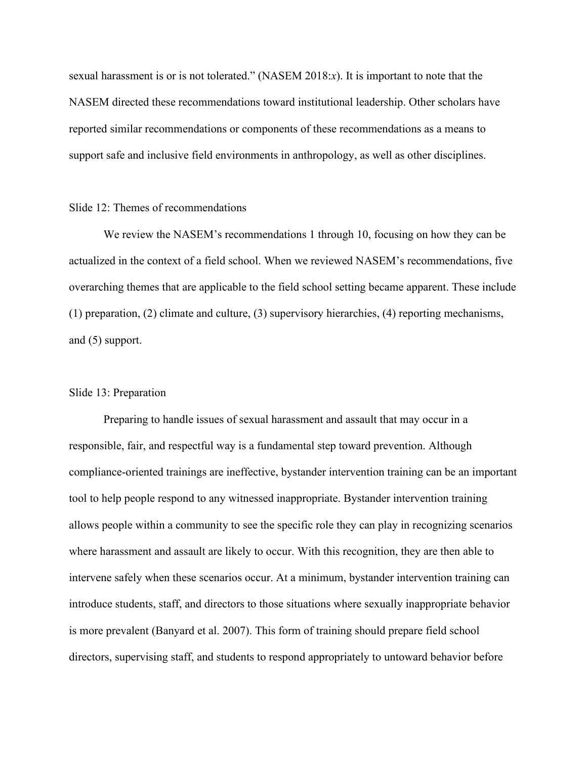sexual harassment is or is not tolerated." (NASEM 2018:*x*). It is important to note that the NASEM directed these recommendations toward institutional leadership. Other scholars have reported similar recommendations or components of these recommendations as a means to support safe and inclusive field environments in anthropology, as well as other disciplines.

# Slide 12: Themes of recommendations

We review the NASEM's recommendations 1 through 10, focusing on how they can be actualized in the context of a field school. When we reviewed NASEM's recommendations, five overarching themes that are applicable to the field school setting became apparent. These include (1) preparation, (2) climate and culture, (3) supervisory hierarchies, (4) reporting mechanisms, and (5) support.

### Slide 13: Preparation

Preparing to handle issues of sexual harassment and assault that may occur in a responsible, fair, and respectful way is a fundamental step toward prevention. Although compliance-oriented trainings are ineffective, bystander intervention training can be an important tool to help people respond to any witnessed inappropriate. Bystander intervention training allows people within a community to see the specific role they can play in recognizing scenarios where harassment and assault are likely to occur. With this recognition, they are then able to intervene safely when these scenarios occur. At a minimum, bystander intervention training can introduce students, staff, and directors to those situations where sexually inappropriate behavior is more prevalent (Banyard et al. 2007). This form of training should prepare field school directors, supervising staff, and students to respond appropriately to untoward behavior before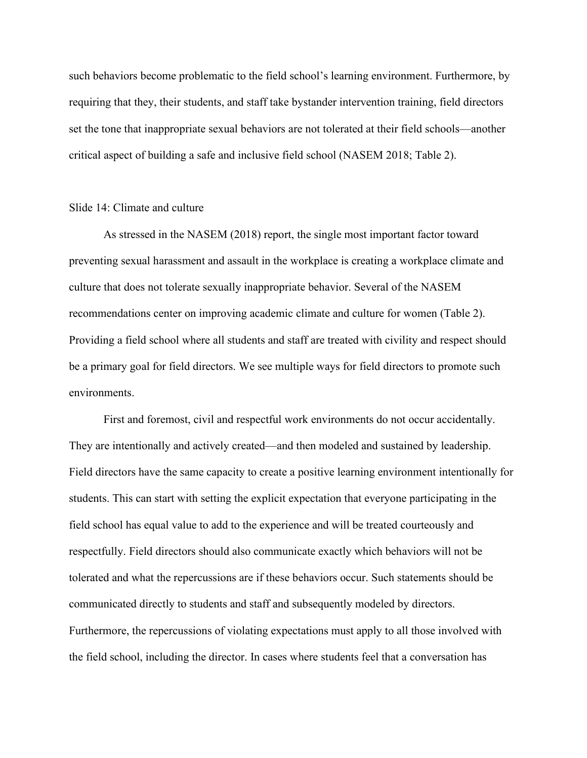such behaviors become problematic to the field school's learning environment. Furthermore, by requiring that they, their students, and staff take bystander intervention training, field directors set the tone that inappropriate sexual behaviors are not tolerated at their field schools—another critical aspect of building a safe and inclusive field school (NASEM 2018; Table 2).

### Slide 14: Climate and culture

As stressed in the NASEM (2018) report, the single most important factor toward preventing sexual harassment and assault in the workplace is creating a workplace climate and culture that does not tolerate sexually inappropriate behavior. Several of the NASEM recommendations center on improving academic climate and culture for women (Table 2). Providing a field school where all students and staff are treated with civility and respect should be a primary goal for field directors. We see multiple ways for field directors to promote such environments.

First and foremost, civil and respectful work environments do not occur accidentally. They are intentionally and actively created—and then modeled and sustained by leadership. Field directors have the same capacity to create a positive learning environment intentionally for students. This can start with setting the explicit expectation that everyone participating in the field school has equal value to add to the experience and will be treated courteously and respectfully. Field directors should also communicate exactly which behaviors will not be tolerated and what the repercussions are if these behaviors occur. Such statements should be communicated directly to students and staff and subsequently modeled by directors. Furthermore, the repercussions of violating expectations must apply to all those involved with the field school, including the director. In cases where students feel that a conversation has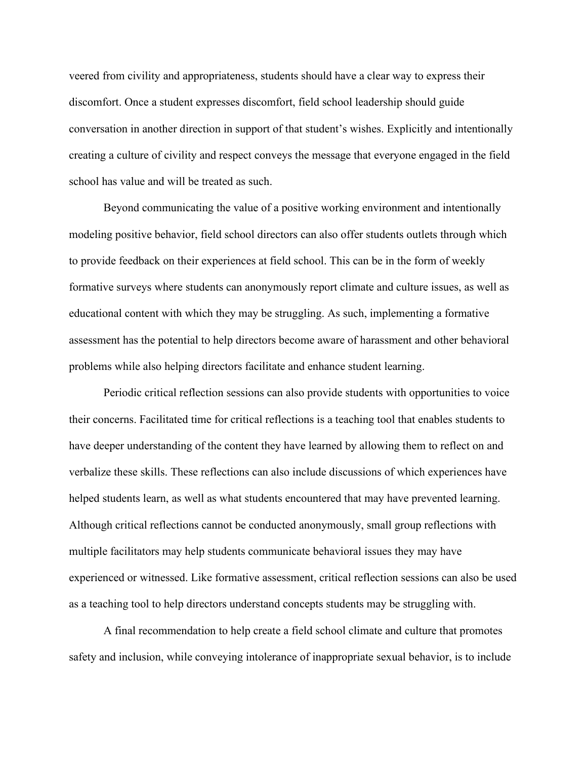veered from civility and appropriateness, students should have a clear way to express their discomfort. Once a student expresses discomfort, field school leadership should guide conversation in another direction in support of that student's wishes. Explicitly and intentionally creating a culture of civility and respect conveys the message that everyone engaged in the field school has value and will be treated as such.

Beyond communicating the value of a positive working environment and intentionally modeling positive behavior, field school directors can also offer students outlets through which to provide feedback on their experiences at field school. This can be in the form of weekly formative surveys where students can anonymously report climate and culture issues, as well as educational content with which they may be struggling. As such, implementing a formative assessment has the potential to help directors become aware of harassment and other behavioral problems while also helping directors facilitate and enhance student learning.

Periodic critical reflection sessions can also provide students with opportunities to voice their concerns. Facilitated time for critical reflections is a teaching tool that enables students to have deeper understanding of the content they have learned by allowing them to reflect on and verbalize these skills. These reflections can also include discussions of which experiences have helped students learn, as well as what students encountered that may have prevented learning. Although critical reflections cannot be conducted anonymously, small group reflections with multiple facilitators may help students communicate behavioral issues they may have experienced or witnessed. Like formative assessment, critical reflection sessions can also be used as a teaching tool to help directors understand concepts students may be struggling with.

A final recommendation to help create a field school climate and culture that promotes safety and inclusion, while conveying intolerance of inappropriate sexual behavior, is to include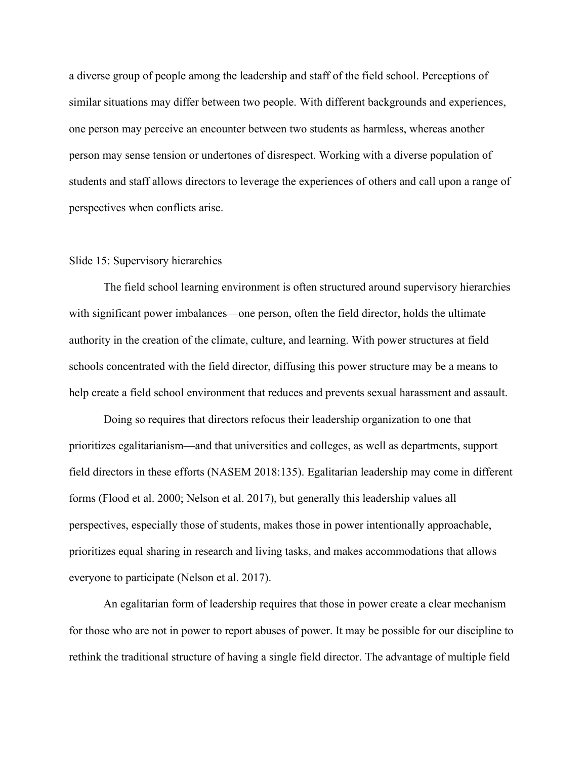a diverse group of people among the leadership and staff of the field school. Perceptions of similar situations may differ between two people. With different backgrounds and experiences, one person may perceive an encounter between two students as harmless, whereas another person may sense tension or undertones of disrespect. Working with a diverse population of students and staff allows directors to leverage the experiences of others and call upon a range of perspectives when conflicts arise.

## Slide 15: Supervisory hierarchies

The field school learning environment is often structured around supervisory hierarchies with significant power imbalances—one person, often the field director, holds the ultimate authority in the creation of the climate, culture, and learning. With power structures at field schools concentrated with the field director, diffusing this power structure may be a means to help create a field school environment that reduces and prevents sexual harassment and assault.

Doing so requires that directors refocus their leadership organization to one that prioritizes egalitarianism—and that universities and colleges, as well as departments, support field directors in these efforts (NASEM 2018:135). Egalitarian leadership may come in different forms (Flood et al. 2000; Nelson et al. 2017), but generally this leadership values all perspectives, especially those of students, makes those in power intentionally approachable, prioritizes equal sharing in research and living tasks, and makes accommodations that allows everyone to participate (Nelson et al. 2017).

An egalitarian form of leadership requires that those in power create a clear mechanism for those who are not in power to report abuses of power. It may be possible for our discipline to rethink the traditional structure of having a single field director. The advantage of multiple field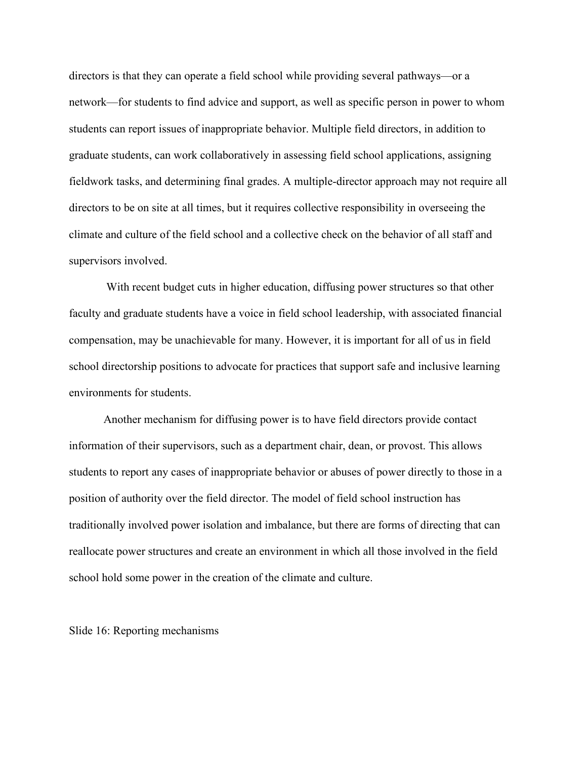directors is that they can operate a field school while providing several pathways—or a network—for students to find advice and support, as well as specific person in power to whom students can report issues of inappropriate behavior. Multiple field directors, in addition to graduate students, can work collaboratively in assessing field school applications, assigning fieldwork tasks, and determining final grades. A multiple-director approach may not require all directors to be on site at all times, but it requires collective responsibility in overseeing the climate and culture of the field school and a collective check on the behavior of all staff and supervisors involved.

With recent budget cuts in higher education, diffusing power structures so that other faculty and graduate students have a voice in field school leadership, with associated financial compensation, may be unachievable for many. However, it is important for all of us in field school directorship positions to advocate for practices that support safe and inclusive learning environments for students.

Another mechanism for diffusing power is to have field directors provide contact information of their supervisors, such as a department chair, dean, or provost. This allows students to report any cases of inappropriate behavior or abuses of power directly to those in a position of authority over the field director. The model of field school instruction has traditionally involved power isolation and imbalance, but there are forms of directing that can reallocate power structures and create an environment in which all those involved in the field school hold some power in the creation of the climate and culture.

Slide 16: Reporting mechanisms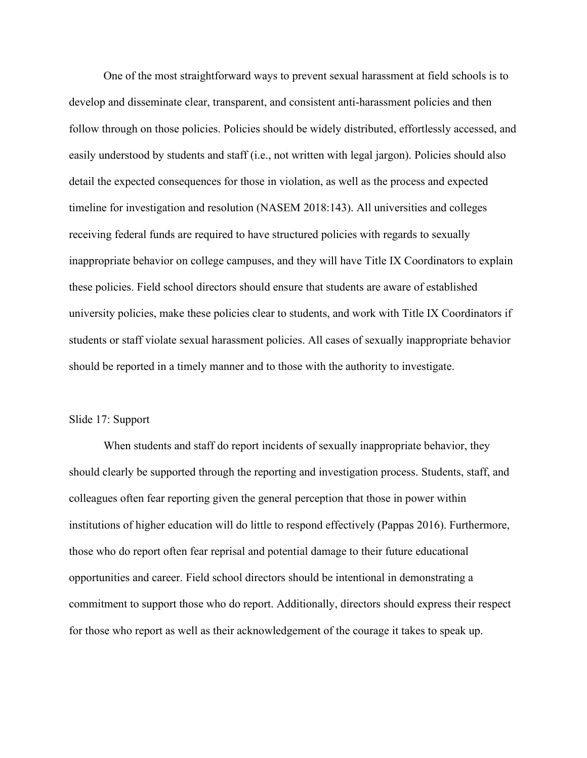One of the most straightforward ways to prevent sexual harassment at field schools is to develop and disseminate clear, transparent, and consistent anti-harassment policies and then follow through on those policies. Policies should be widely distributed, effortlessly accessed, and easily understood by students and staff (i.e., not written with legal jargon). Policies should also detail the expected consequences for those in violation, as well as the process and expected timeline for investigation and resolution (NASEM 2018:143). All universities and colleges receiving federal funds are required to have structured policies with regards to sexually inappropriate behavior on college campuses, and they will have Title IX Coordinators to explain these policies. Field school directors should ensure that students are aware of established university policies, make these policies clear to students, and work with Title IX Coordinators if students or staff violate sexual harassment policies. All cases of sexually inappropriate behavior should be reported in a timely manner and to those with the authority to investigate.

#### Slide 17: Support

When students and staff do report incidents of sexually inappropriate behavior, they should clearly be supported through the reporting and investigation process. Students, staff, and colleagues often fear reporting given the general perception that those in power within institutions of higher education will do little to respond effectively (Pappas 2016). Furthermore, those who do report often fear reprisal and potential damage to their future educational opportunities and career. Field school directors should be intentional in demonstrating a commitment to support those who do report. Additionally, directors should express their respect for those who report as well as their acknowledgement of the courage it takes to speak up.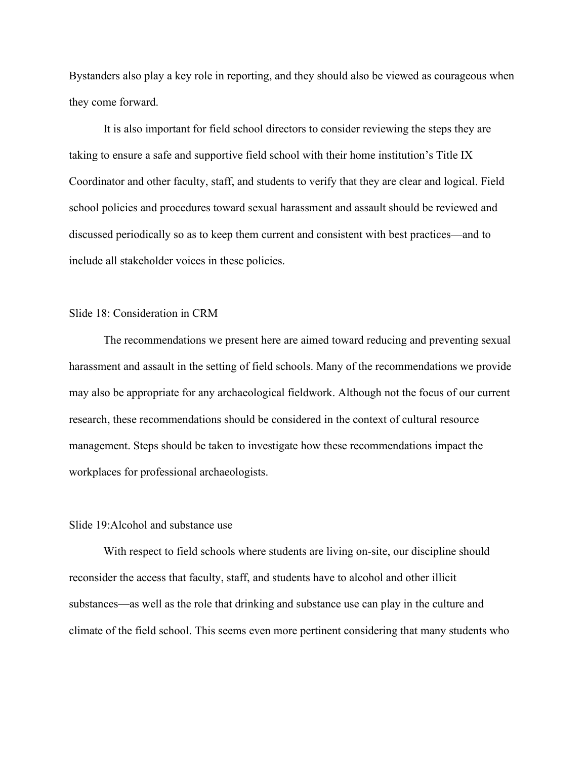Bystanders also play a key role in reporting, and they should also be viewed as courageous when they come forward.

It is also important for field school directors to consider reviewing the steps they are taking to ensure a safe and supportive field school with their home institution's Title IX Coordinator and other faculty, staff, and students to verify that they are clear and logical. Field school policies and procedures toward sexual harassment and assault should be reviewed and discussed periodically so as to keep them current and consistent with best practices—and to include all stakeholder voices in these policies.

# Slide 18: Consideration in CRM

The recommendations we present here are aimed toward reducing and preventing sexual harassment and assault in the setting of field schools. Many of the recommendations we provide may also be appropriate for any archaeological fieldwork. Although not the focus of our current research, these recommendations should be considered in the context of cultural resource management. Steps should be taken to investigate how these recommendations impact the workplaces for professional archaeologists.

## Slide 19:Alcohol and substance use

With respect to field schools where students are living on-site, our discipline should reconsider the access that faculty, staff, and students have to alcohol and other illicit substances—as well as the role that drinking and substance use can play in the culture and climate of the field school. This seems even more pertinent considering that many students who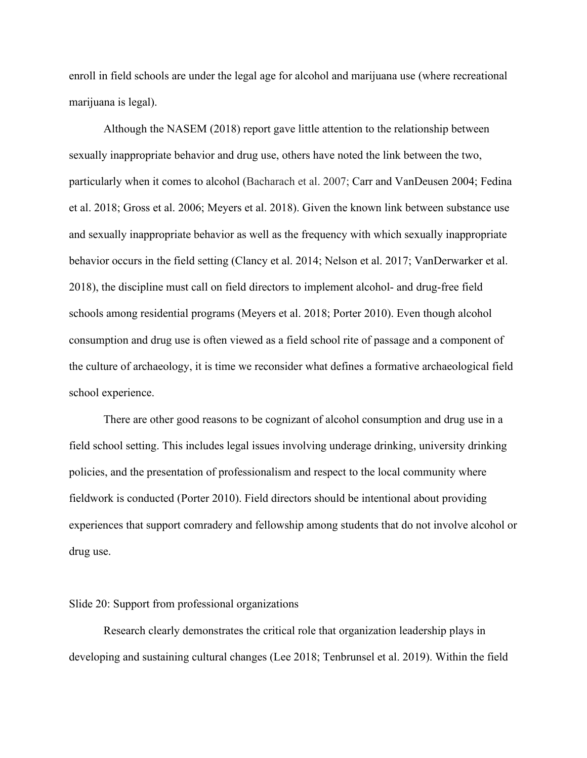enroll in field schools are under the legal age for alcohol and marijuana use (where recreational marijuana is legal).

Although the NASEM (2018) report gave little attention to the relationship between sexually inappropriate behavior and drug use, others have noted the link between the two, particularly when it comes to alcohol (Bacharach et al. 2007; Carr and VanDeusen 2004; Fedina et al. 2018; Gross et al. 2006; Meyers et al. 2018). Given the known link between substance use and sexually inappropriate behavior as well as the frequency with which sexually inappropriate behavior occurs in the field setting (Clancy et al. 2014; Nelson et al. 2017; VanDerwarker et al. 2018), the discipline must call on field directors to implement alcohol- and drug-free field schools among residential programs (Meyers et al. 2018; Porter 2010). Even though alcohol consumption and drug use is often viewed as a field school rite of passage and a component of the culture of archaeology, it is time we reconsider what defines a formative archaeological field school experience.

There are other good reasons to be cognizant of alcohol consumption and drug use in a field school setting. This includes legal issues involving underage drinking, university drinking policies, and the presentation of professionalism and respect to the local community where fieldwork is conducted (Porter 2010). Field directors should be intentional about providing experiences that support comradery and fellowship among students that do not involve alcohol or drug use.

#### Slide 20: Support from professional organizations

Research clearly demonstrates the critical role that organization leadership plays in developing and sustaining cultural changes (Lee 2018; Tenbrunsel et al. 2019). Within the field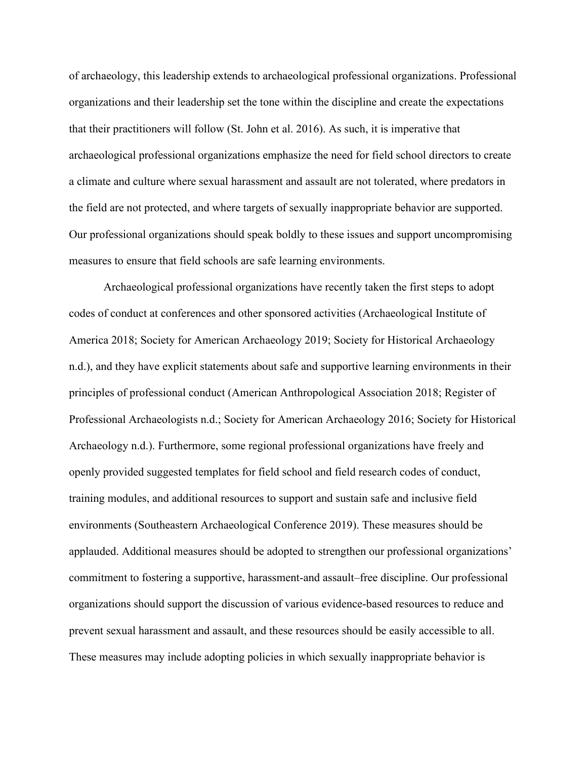of archaeology, this leadership extends to archaeological professional organizations. Professional organizations and their leadership set the tone within the discipline and create the expectations that their practitioners will follow (St. John et al. 2016). As such, it is imperative that archaeological professional organizations emphasize the need for field school directors to create a climate and culture where sexual harassment and assault are not tolerated, where predators in the field are not protected, and where targets of sexually inappropriate behavior are supported. Our professional organizations should speak boldly to these issues and support uncompromising measures to ensure that field schools are safe learning environments.

Archaeological professional organizations have recently taken the first steps to adopt codes of conduct at conferences and other sponsored activities (Archaeological Institute of America 2018; Society for American Archaeology 2019; Society for Historical Archaeology n.d.), and they have explicit statements about safe and supportive learning environments in their principles of professional conduct (American Anthropological Association 2018; Register of Professional Archaeologists n.d.; Society for American Archaeology 2016; Society for Historical Archaeology n.d.). Furthermore, some regional professional organizations have freely and openly provided suggested templates for field school and field research codes of conduct, training modules, and additional resources to support and sustain safe and inclusive field environments (Southeastern Archaeological Conference 2019). These measures should be applauded. Additional measures should be adopted to strengthen our professional organizations' commitment to fostering a supportive, harassment-and assault–free discipline. Our professional organizations should support the discussion of various evidence-based resources to reduce and prevent sexual harassment and assault, and these resources should be easily accessible to all. These measures may include adopting policies in which sexually inappropriate behavior is